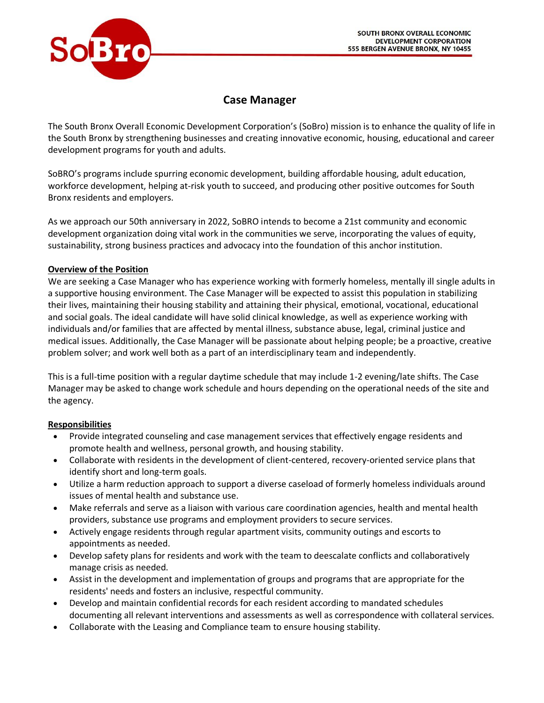

# **Case Manager**

The South Bronx Overall Economic Development Corporation's (SoBro) mission is to enhance the quality of life in the South Bronx by strengthening businesses and creating innovative economic, housing, educational and career development programs for youth and adults.

SoBRO's programs include spurring economic development, building affordable housing, adult education, workforce development, helping at-risk youth to succeed, and producing other positive outcomes for South Bronx residents and employers.

As we approach our 50th anniversary in 2022, SoBRO intends to become a 21st community and economic development organization doing vital work in the communities we serve, incorporating the values of equity, sustainability, strong business practices and advocacy into the foundation of this anchor institution.

## **Overview of the Position**

We are seeking a Case Manager who has experience working with formerly homeless, mentally ill single adults in a supportive housing environment. The Case Manager will be expected to assist this population in stabilizing their lives, maintaining their housing stability and attaining their physical, emotional, vocational, educational and social goals. The ideal candidate will have solid clinical knowledge, as well as experience working with individuals and/or families that are affected by mental illness, substance abuse, legal, criminal justice and medical issues. Additionally, the Case Manager will be passionate about helping people; be a proactive, creative problem solver; and work well both as a part of an interdisciplinary team and independently.

This is a full-time position with a regular daytime schedule that may include 1-2 evening/late shifts. The Case Manager may be asked to change work schedule and hours depending on the operational needs of the site and the agency.

## **Responsibilities**

- Provide integrated counseling and case management services that effectively engage residents and promote health and wellness, personal growth, and housing stability.
- Collaborate with residents in the development of client-centered, recovery-oriented service plans that identify short and long-term goals.
- Utilize a harm reduction approach to support a diverse caseload of formerly homeless individuals around issues of mental health and substance use.
- Make referrals and serve as a liaison with various care coordination agencies, health and mental health providers, substance use programs and employment providers to secure services.
- Actively engage residents through regular apartment visits, community outings and escorts to appointments as needed.
- Develop safety plans for residents and work with the team to deescalate conflicts and collaboratively manage crisis as needed.
- Assist in the development and implementation of groups and programs that are appropriate for the residents' needs and fosters an inclusive, respectful community.
- Develop and maintain confidential records for each resident according to mandated schedules documenting all relevant interventions and assessments as well as correspondence with collateral services.
- Collaborate with the Leasing and Compliance team to ensure housing stability.